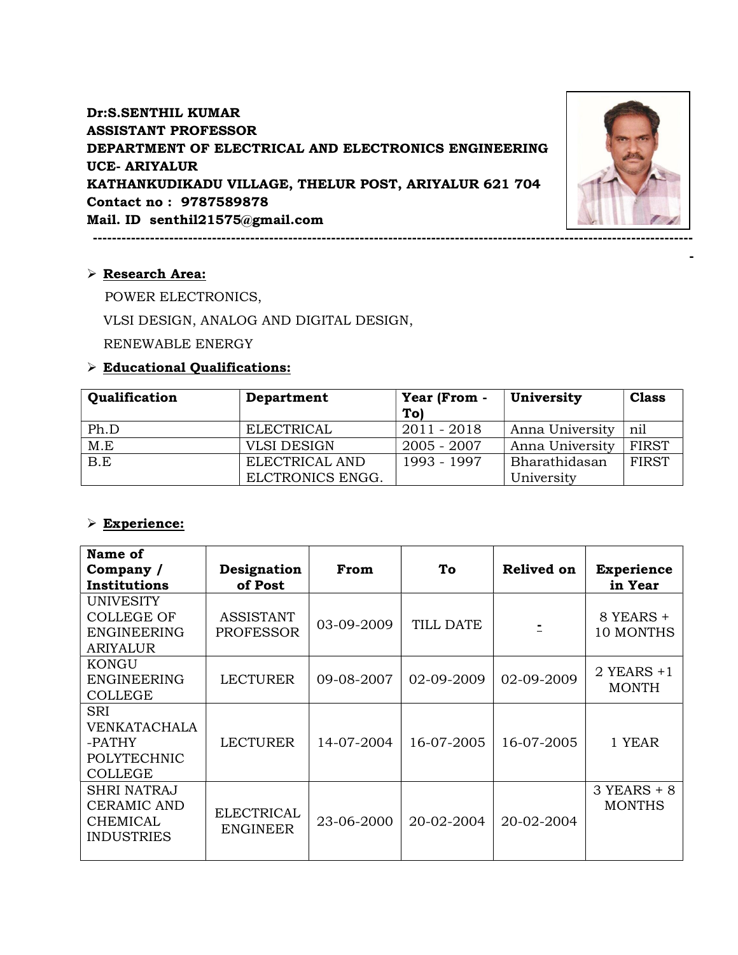Dr:S.SENTHIL KUMAR ASSISTANT PROFESSOR DEPARTMENT OF ELECTRICAL AND ELECTRONICS ENGINEERING UCE- ARIYALUR KATHANKUDIKADU VILLAGE, THELUR POST, ARIYALUR 621 704 Contact no : 9787589878 Mail. ID senthil21575@gmail.com

------------------------------------------------------------------------------------------------------------------------------



-

Research Area:

POWER ELECTRONICS,

VLSI DESIGN, ANALOG AND DIGITAL DESIGN,

RENEWABLE ENERGY

### Educational Qualifications:

| Qualification | Department         | Year (From -<br>To) | University      | <b>Class</b> |
|---------------|--------------------|---------------------|-----------------|--------------|
| Ph.D          | ELECTRICAL         | 2011 - 2018         | Anna University | nil          |
| M.E           | <b>VLSI DESIGN</b> | $2005 - 2007$       | Anna University | <b>FIRST</b> |
| B.E           | ELECTRICAL AND     | 1993 - 1997         | Bharathidasan   | <b>FIRST</b> |
|               | ELCTRONICS ENGG.   |                     | University      |              |

#### Experience:

| Name of<br>Company /<br>Institutions                                             | Designation<br>of Post               | From       | To         | <b>Relived on</b> | <b>Experience</b><br>in Year   |
|----------------------------------------------------------------------------------|--------------------------------------|------------|------------|-------------------|--------------------------------|
| <b>UNIVESITY</b><br><b>COLLEGE OF</b><br><b>ENGINEERING</b><br>ARIYALUR          | <b>ASSISTANT</b><br><b>PROFESSOR</b> | 03-09-2009 | TILL DATE  |                   | 8 YEARS +<br>10 MONTHS         |
| KONGU<br>ENGINEERING<br><b>COLLEGE</b>                                           | LECTURER                             | 09-08-2007 | 02-09-2009 | 02-09-2009        | $2$ YEARS $+1$<br><b>MONTH</b> |
| SRI<br>VENKATACHALA<br>-PATHY<br><b>POLYTECHNIC</b><br><b>COLLEGE</b>            | LECTURER                             | 14-07-2004 | 16-07-2005 | 16-07-2005        | 1 YEAR                         |
| <b>SHRI NATRAJ</b><br><b>CERAMIC AND</b><br><b>CHEMICAL</b><br><b>INDUSTRIES</b> | <b>ELECTRICAL</b><br><b>ENGINEER</b> | 23-06-2000 | 20-02-2004 | 20-02-2004        | $3$ YEARS + 8<br><b>MONTHS</b> |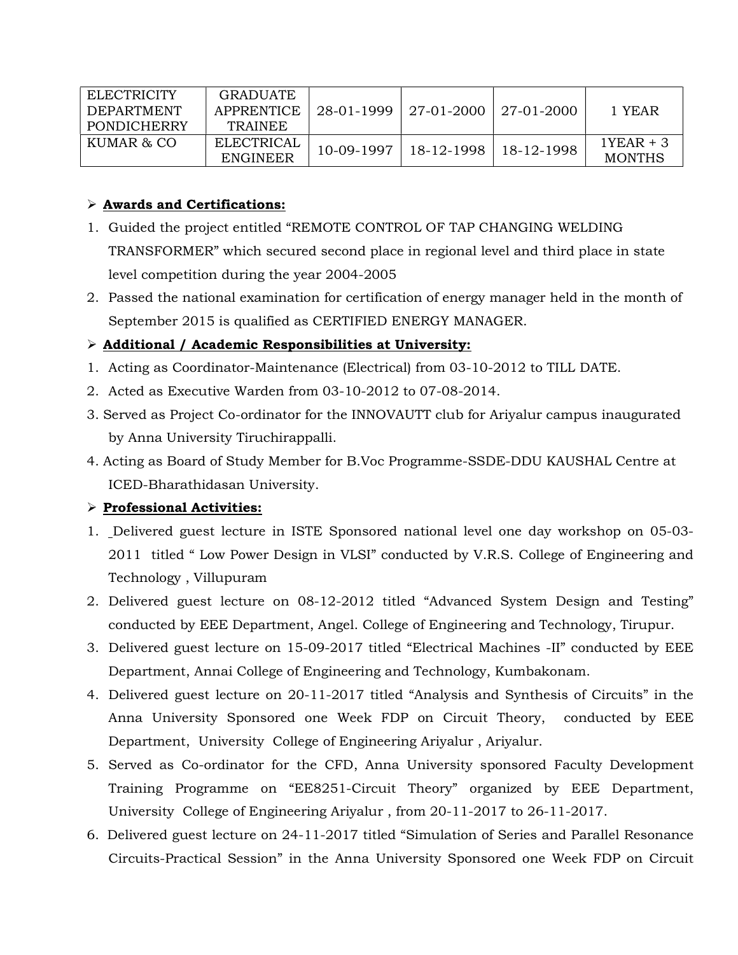| ELECTRICITY | <b>GRADUATE</b>   |            |                                        |  |               |
|-------------|-------------------|------------|----------------------------------------|--|---------------|
| DEPARTMENT  | APPRENTICE        |            | $28-01-1999$   27-01-2000   27-01-2000 |  | 1 YEAR        |
| PONDICHERRY | <b>TRAINEE</b>    |            |                                        |  |               |
| KUMAR & CO  | <b>ELECTRICAL</b> | 10-09-1997 | 18-12-1998   18-12-1998                |  | $1YEAR + 3$   |
|             | <b>ENGINEER</b>   |            |                                        |  | <b>MONTHS</b> |

# Awards and Certifications:

- 1. Guided the project entitled "REMOTE CONTROL OF TAP CHANGING WELDING TRANSFORMER" which secured second place in regional level and third place in state level competition during the year 2004-2005
- 2. Passed the national examination for certification of energy manager held in the month of September 2015 is qualified as CERTIFIED ENERGY MANAGER.

# Additional / Academic Responsibilities at University:

- 1. Acting as Coordinator-Maintenance (Electrical) from 03-10-2012 to TILL DATE.
- 2. Acted as Executive Warden from 03-10-2012 to 07-08-2014.
- 3. Served as Project Co-ordinator for the INNOVAUTT club for Ariyalur campus inaugurated by Anna University Tiruchirappalli.
- 4. Acting as Board of Study Member for B.Voc Programme-SSDE-DDU KAUSHAL Centre at ICED-Bharathidasan University.

# $\triangleright$  Professional Activities:

- 1. Delivered guest lecture in ISTE Sponsored national level one day workshop on 05-03- 2011 titled " Low Power Design in VLSI" conducted by V.R.S. College of Engineering and Technology , Villupuram
- 2. Delivered guest lecture on 08-12-2012 titled "Advanced System Design and Testing" conducted by EEE Department, Angel. College of Engineering and Technology, Tirupur.
- 3. Delivered guest lecture on 15-09-2017 titled "Electrical Machines -II" conducted by EEE Department, Annai College of Engineering and Technology, Kumbakonam.
- 4. Delivered guest lecture on 20-11-2017 titled "Analysis and Synthesis of Circuits" in the Anna University Sponsored one Week FDP on Circuit Theory, conducted by EEE Department, University College of Engineering Ariyalur , Ariyalur.
- 5. Served as Co-ordinator for the CFD, Anna University sponsored Faculty Development Training Programme on "EE8251-Circuit Theory" organized by EEE Department, University College of Engineering Ariyalur , from 20-11-2017 to 26-11-2017.
- 6. Delivered guest lecture on 24-11-2017 titled "Simulation of Series and Parallel Resonance Circuits-Practical Session" in the Anna University Sponsored one Week FDP on Circuit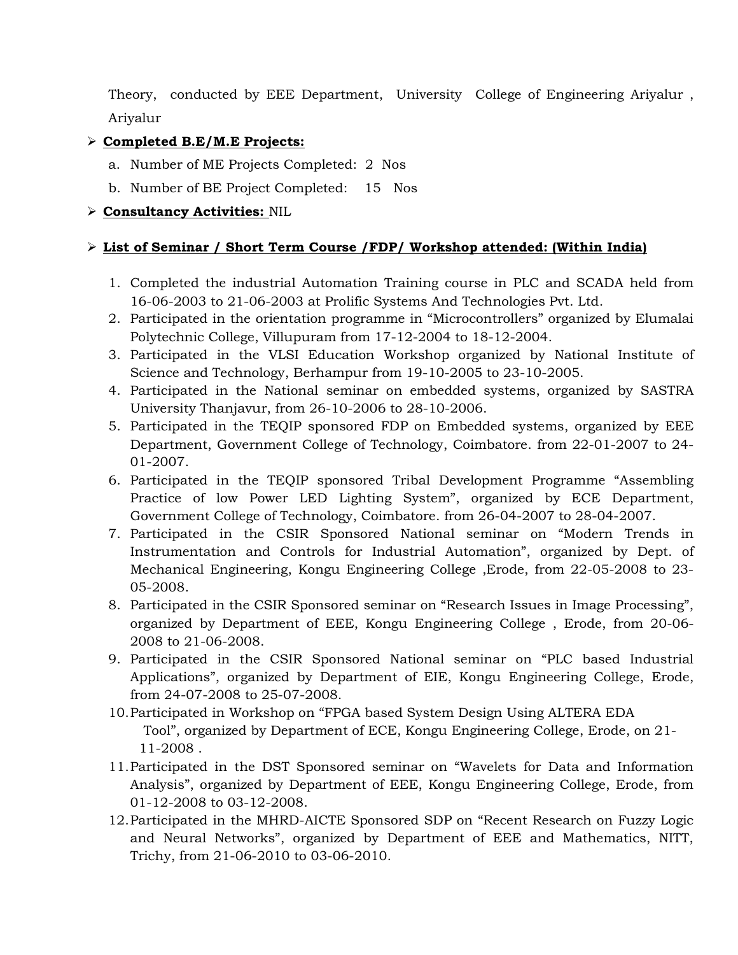Theory, conducted by EEE Department, University College of Engineering Ariyalur , Ariyalur

# $\triangleright$  Completed B.E/M.E Projects:

- a. Number of ME Projects Completed: 2 Nos
- b. Number of BE Project Completed: 15 Nos

# Consultancy Activities: NIL

### List of Seminar / Short Term Course /FDP/ Workshop attended: (Within India)

- 1. Completed the industrial Automation Training course in PLC and SCADA held from 16-06-2003 to 21-06-2003 at Prolific Systems And Technologies Pvt. Ltd.
- 2. Participated in the orientation programme in "Microcontrollers" organized by Elumalai Polytechnic College, Villupuram from 17-12-2004 to 18-12-2004.
- 3. Participated in the VLSI Education Workshop organized by National Institute of Science and Technology, Berhampur from 19-10-2005 to 23-10-2005.
- 4. Participated in the National seminar on embedded systems, organized by SASTRA University Thanjavur, from 26-10-2006 to 28-10-2006.
- 5. Participated in the TEQIP sponsored FDP on Embedded systems, organized by EEE Department, Government College of Technology, Coimbatore. from 22-01-2007 to 24- 01-2007.
- 6. Participated in the TEQIP sponsored Tribal Development Programme "Assembling Practice of low Power LED Lighting System", organized by ECE Department, Government College of Technology, Coimbatore. from 26-04-2007 to 28-04-2007.
- 7. Participated in the CSIR Sponsored National seminar on "Modern Trends in Instrumentation and Controls for Industrial Automation", organized by Dept. of Mechanical Engineering, Kongu Engineering College ,Erode, from 22-05-2008 to 23- 05-2008.
- 8. Participated in the CSIR Sponsored seminar on "Research Issues in Image Processing", organized by Department of EEE, Kongu Engineering College , Erode, from 20-06- 2008 to 21-06-2008.
- 9. Participated in the CSIR Sponsored National seminar on "PLC based Industrial Applications", organized by Department of EIE, Kongu Engineering College, Erode, from 24-07-2008 to 25-07-2008.
- 10.Participated in Workshop on "FPGA based System Design Using ALTERA EDA Tool", organized by Department of ECE, Kongu Engineering College, Erode, on 21- 11-2008 .
- 11.Participated in the DST Sponsored seminar on "Wavelets for Data and Information Analysis", organized by Department of EEE, Kongu Engineering College, Erode, from 01-12-2008 to 03-12-2008.
- 12.Participated in the MHRD-AICTE Sponsored SDP on "Recent Research on Fuzzy Logic and Neural Networks", organized by Department of EEE and Mathematics, NITT, Trichy, from 21-06-2010 to 03-06-2010.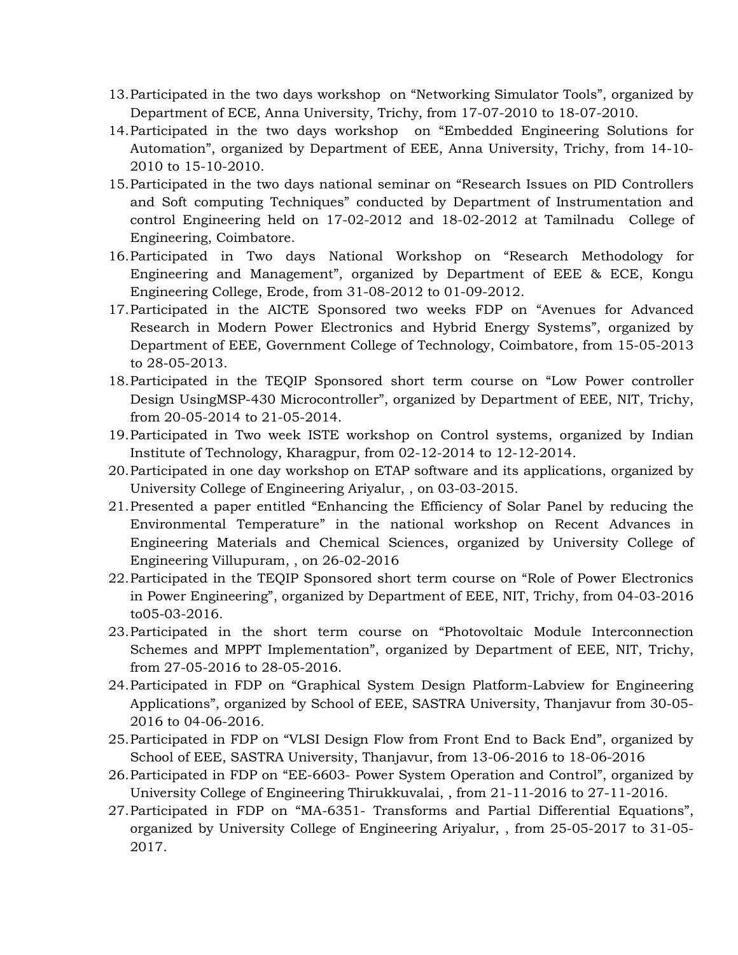- 13.Participated in the two days workshop on "Networking Simulator Tools", organized by Department of ECE, Anna University, Trichy, from 17-07-2010 to 18-07-2010.
- 14.Participated in the two days workshop on "Embedded Engineering Solutions for Automation", organized by Department of EEE, Anna University, Trichy, from 14-10- 2010 to 15-10-2010.
- 15.Participated in the two days national seminar on "Research Issues on PID Controllers and Soft computing Techniques" conducted by Department of Instrumentation and control Engineering held on 17-02-2012 and 18-02-2012 at Tamilnadu College of Engineering, Coimbatore.
- 16.Participated in Two days National Workshop on "Research Methodology for Engineering and Management", organized by Department of EEE & ECE, Kongu Engineering College, Erode, from 31-08-2012 to 01-09-2012.
- 17.Participated in the AICTE Sponsored two weeks FDP on "Avenues for Advanced Research in Modern Power Electronics and Hybrid Energy Systems", organized by Department of EEE, Government College of Technology, Coimbatore, from 15-05-2013 to 28-05-2013.
- 18.Participated in the TEQIP Sponsored short term course on "Low Power controller Design UsingMSP-430 Microcontroller", organized by Department of EEE, NIT, Trichy, from 20-05-2014 to 21-05-2014.
- 19.Participated in Two week ISTE workshop on Control systems, organized by Indian Institute of Technology, Kharagpur, from 02-12-2014 to 12-12-2014.
- 20.Participated in one day workshop on ETAP software and its applications, organized by University College of Engineering Ariyalur, , on 03-03-2015.
- 21.Presented a paper entitled "Enhancing the Efficiency of Solar Panel by reducing the Environmental Temperature" in the national workshop on Recent Advances in Engineering Materials and Chemical Sciences, organized by University College of Engineering Villupuram, , on 26-02-2016
- 22.Participated in the TEQIP Sponsored short term course on "Role of Power Electronics in Power Engineering", organized by Department of EEE, NIT, Trichy, from 04-03-2016 to05-03-2016.
- 23.Participated in the short term course on "Photovoltaic Module Interconnection Schemes and MPPT Implementation", organized by Department of EEE, NIT, Trichy, from 27-05-2016 to 28-05-2016.
- 24.Participated in FDP on "Graphical System Design Platform-Labview for Engineering Applications", organized by School of EEE, SASTRA University, Thanjavur from 30-05- 2016 to 04-06-2016.
- 25.Participated in FDP on "VLSI Design Flow from Front End to Back End", organized by School of EEE, SASTRA University, Thanjavur, from 13-06-2016 to 18-06-2016
- 26.Participated in FDP on "EE-6603- Power System Operation and Control", organized by University College of Engineering Thirukkuvalai, , from 21-11-2016 to 27-11-2016.
- 27.Participated in FDP on "MA-6351- Transforms and Partial Differential Equations", organized by University College of Engineering Ariyalur, , from 25-05-2017 to 31-05- 2017.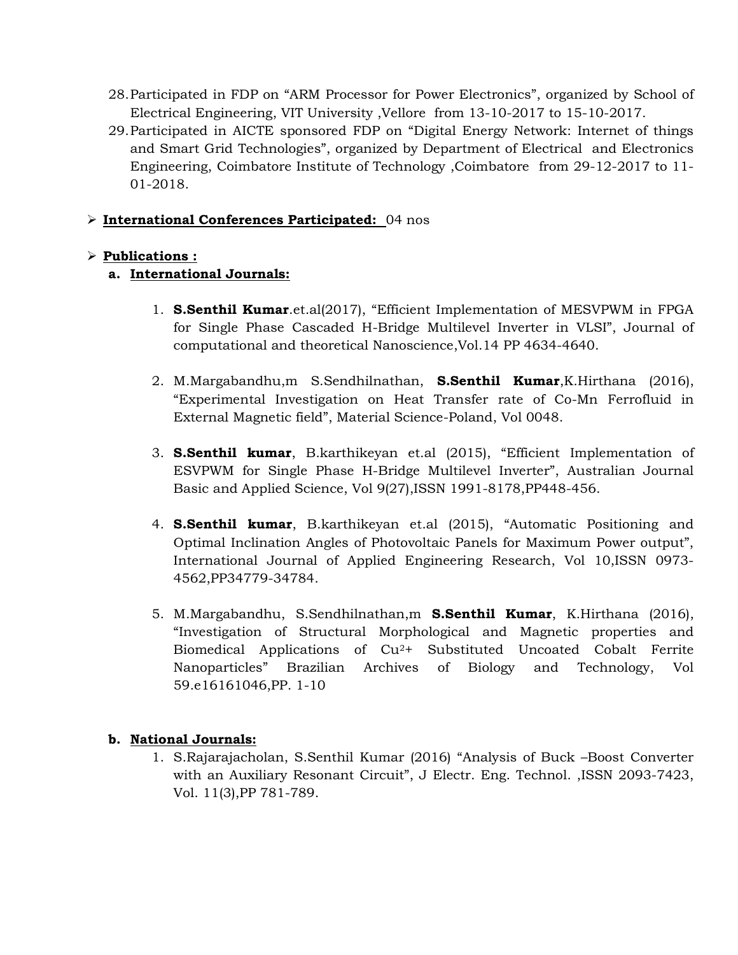- 28.Participated in FDP on "ARM Processor for Power Electronics", organized by School of Electrical Engineering, VIT University ,Vellore from 13-10-2017 to 15-10-2017.
- 29.Participated in AICTE sponsored FDP on "Digital Energy Network: Internet of things and Smart Grid Technologies", organized by Department of Electrical and Electronics Engineering, Coimbatore Institute of Technology ,Coimbatore from 29-12-2017 to 11- 01-2018.

#### International Conferences Participated: 04 nos

# $\triangleright$  Publications :

### a. International Journals:

- 1. S.Senthil Kumar.et.al(2017), "Efficient Implementation of MESVPWM in FPGA for Single Phase Cascaded H-Bridge Multilevel Inverter in VLSI", Journal of computational and theoretical Nanoscience,Vol.14 PP 4634-4640.
- 2. M.Margabandhu,m S.Sendhilnathan, S.Senthil Kumar, K.Hirthana (2016), "Experimental Investigation on Heat Transfer rate of Co-Mn Ferrofluid in External Magnetic field", Material Science-Poland, Vol 0048.
- 3. S.Senthil kumar, B.karthikeyan et.al (2015), "Efficient Implementation of ESVPWM for Single Phase H-Bridge Multilevel Inverter", Australian Journal Basic and Applied Science, Vol 9(27),ISSN 1991-8178,PP448-456.
- 4. **S.Senthil kumar**, B.karthikeyan et.al (2015), "Automatic Positioning and Optimal Inclination Angles of Photovoltaic Panels for Maximum Power output", International Journal of Applied Engineering Research, Vol 10,ISSN 0973- 4562,PP34779-34784.
- 5. M.Margabandhu, S.Sendhilnathan,m S.Senthil Kumar, K.Hirthana (2016), "Investigation of Structural Morphological and Magnetic properties and Biomedical Applications of Cu2+ Substituted Uncoated Cobalt Ferrite Nanoparticles" Brazilian Archives of Biology and Technology, Vol 59.e16161046,PP. 1-10

# b. National Journals:

1. S.Rajarajacholan, S.Senthil Kumar (2016) "Analysis of Buck –Boost Converter with an Auxiliary Resonant Circuit", J Electr. Eng. Technol. ,ISSN 2093-7423, Vol. 11(3),PP 781-789.